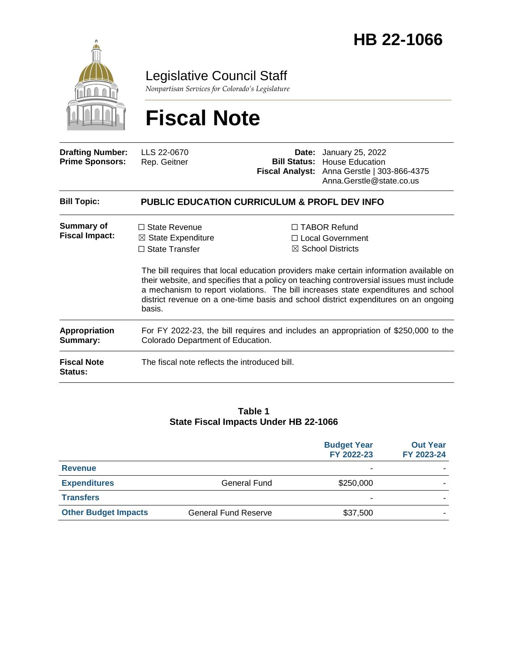

Legislative Council Staff

*Nonpartisan Services for Colorado's Legislature*

# **Fiscal Note**

| <b>Drafting Number:</b><br><b>Prime Sponsors:</b> | LLS 22-0670<br>Rep. Geitner                                                                                              |  | <b>Date:</b> January 25, 2022<br><b>Bill Status: House Education</b><br>Fiscal Analyst: Anna Gerstle   303-866-4375<br>Anna.Gerstle@state.co.us                                                                                                                                                                                                                                                                                              |  |
|---------------------------------------------------|--------------------------------------------------------------------------------------------------------------------------|--|----------------------------------------------------------------------------------------------------------------------------------------------------------------------------------------------------------------------------------------------------------------------------------------------------------------------------------------------------------------------------------------------------------------------------------------------|--|
| <b>Bill Topic:</b>                                | <b>PUBLIC EDUCATION CURRICULUM &amp; PROFL DEV INFO</b>                                                                  |  |                                                                                                                                                                                                                                                                                                                                                                                                                                              |  |
| <b>Summary of</b><br><b>Fiscal Impact:</b>        | $\Box$ State Revenue<br>$\boxtimes$ State Expenditure<br>$\Box$ State Transfer<br>basis.                                 |  | $\Box$ TABOR Refund<br>□ Local Government<br>$\boxtimes$ School Districts<br>The bill requires that local education providers make certain information available on<br>their website, and specifies that a policy on teaching controversial issues must include<br>a mechanism to report violations. The bill increases state expenditures and school<br>district revenue on a one-time basis and school district expenditures on an ongoing |  |
| <b>Appropriation</b><br>Summary:                  | For FY 2022-23, the bill requires and includes an appropriation of \$250,000 to the<br>Colorado Department of Education. |  |                                                                                                                                                                                                                                                                                                                                                                                                                                              |  |
| <b>Fiscal Note</b><br><b>Status:</b>              | The fiscal note reflects the introduced bill.                                                                            |  |                                                                                                                                                                                                                                                                                                                                                                                                                                              |  |

#### **Table 1 State Fiscal Impacts Under HB 22-1066**

|                             |                             | <b>Budget Year</b><br>FY 2022-23 | <b>Out Year</b><br>FY 2023-24 |
|-----------------------------|-----------------------------|----------------------------------|-------------------------------|
| <b>Revenue</b>              |                             |                                  |                               |
| <b>Expenditures</b>         | <b>General Fund</b>         | \$250,000                        |                               |
| <b>Transfers</b>            |                             |                                  |                               |
| <b>Other Budget Impacts</b> | <b>General Fund Reserve</b> | \$37,500                         |                               |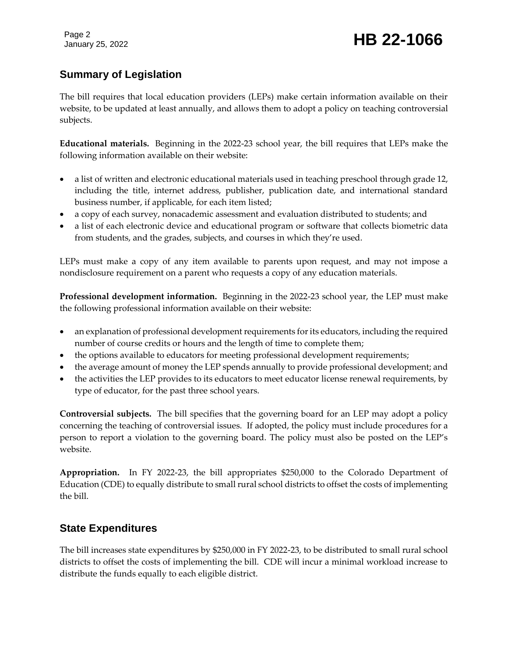Page 2

# January 25, 2022 **HB 22-1066**

## **Summary of Legislation**

The bill requires that local education providers (LEPs) make certain information available on their website, to be updated at least annually, and allows them to adopt a policy on teaching controversial subjects.

**Educational materials.** Beginning in the 2022-23 school year, the bill requires that LEPs make the following information available on their website:

- a list of written and electronic educational materials used in teaching preschool through grade 12, including the title, internet address, publisher, publication date, and international standard business number, if applicable, for each item listed;
- a copy of each survey, nonacademic assessment and evaluation distributed to students; and
- a list of each electronic device and educational program or software that collects biometric data from students, and the grades, subjects, and courses in which they're used.

LEPs must make a copy of any item available to parents upon request, and may not impose a nondisclosure requirement on a parent who requests a copy of any education materials.

**Professional development information.** Beginning in the 2022-23 school year, the LEP must make the following professional information available on their website:

- an explanation of professional development requirements for its educators, including the required number of course credits or hours and the length of time to complete them;
- the options available to educators for meeting professional development requirements;
- the average amount of money the LEP spends annually to provide professional development; and
- the activities the LEP provides to its educators to meet educator license renewal requirements, by type of educator, for the past three school years.

**Controversial subjects.** The bill specifies that the governing board for an LEP may adopt a policy concerning the teaching of controversial issues. If adopted, the policy must include procedures for a person to report a violation to the governing board. The policy must also be posted on the LEP's website.

**Appropriation.** In FY 2022-23, the bill appropriates \$250,000 to the Colorado Department of Education (CDE) to equally distribute to small rural school districts to offset the costs of implementing the bill.

### **State Expenditures**

The bill increases state expenditures by \$250,000 in FY 2022-23, to be distributed to small rural school districts to offset the costs of implementing the bill. CDE will incur a minimal workload increase to distribute the funds equally to each eligible district.